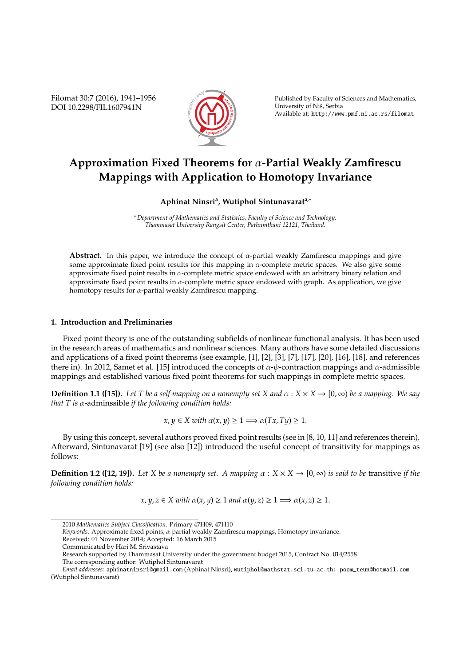Filomat 30:7 (2016), 1941–1956 DOI 10.2298/FIL1607941N



Published by Faculty of Sciences and Mathematics, University of Niš, Serbia Available at: http://www.pmf.ni.ac.rs/filomat

# **Approximation Fixed Theorems for** α**-Partial Weakly Zamfirescu Mappings with Application to Homotopy Invariance**

# **Aphinat Ninsri<sup>a</sup> , Wutiphol Sintunavarata,**<sup>∗</sup>

*<sup>a</sup>Department of Mathematics and Statistics, Faculty of Science and Technology, Thammasat University Rangsit Center, Pathumthani 12121, Thailand.*

**Abstract.** In this paper, we introduce the concept of  $\alpha$ -partial weakly Zamfirescu mappings and give some approximate fixed point results for this mapping in  $\alpha$ -complete metric spaces. We also give some approximate fixed point results in  $\alpha$ -complete metric space endowed with an arbitrary binary relation and approximate fixed point results in  $\alpha$ -complete metric space endowed with graph. As application, we give homotopy results for α-partial weakly Zamfirescu mapping.

# **1. Introduction and Preliminaries**

Fixed point theory is one of the outstanding subfields of nonlinear functional analysis. It has been used in the research areas of mathematics and nonlinear sciences. Many authors have some detailed discussions and applications of a fixed point theorems (see example, [1], [2], [3], [7], [17], [20], [16], [18], and references there in). In 2012, Samet et al. [15] introduced the concepts of  $\alpha$ - $\psi$ -contraction mappings and  $\alpha$ -admissible mappings and established various fixed point theorems for such mappings in complete metric spaces.

**Definition 1.1 ([15]).** *Let T be a self mapping on a nonempty set X and*  $\alpha$  :  $X \times X \rightarrow [0, \infty)$  *be a mapping. We say that T is* α-adminssible *if the following condition holds:*

$$
x, y \in X
$$
 with  $\alpha(x, y) \ge 1 \Longrightarrow \alpha(Tx, Ty) \ge 1$ .

By using this concept, several authors proved fixed point results (see in [8, 10, 11] and references therein). Afterward, Sintunavarat [19] (see also [12]) introduced the useful concept of transitivity for mappings as follows:

**Definition 1.2 ([12, 19]).** Let *X* be a nonempty set. A mapping  $\alpha : X \times X \to [0, \infty)$  is said to be transitive if the *following condition holds:*

 $x, y, z \in X$  with  $\alpha(x, y) \geq 1$  and  $\alpha(y, z) \geq 1 \implies \alpha(x, z) \geq 1$ .

*Keywords*. Approximate fixed points, α-partial weakly Zamfirescu mappings, Homotopy invariance.

Received: 01 November 2014; Accepted: 16 March 2015

<sup>2010</sup> *Mathematics Subject Classification*. Primary 47H09, 47H10

Communicated by Hari M. Srivastava

Research supported by Thammasat University under the government budget 2015, Contract No. 014/2558 The corresponding author: Wutiphol Sintunavarat

*Email addresses:* aphinatninsri@gmail.com (Aphinat Ninsri), wutiphol@mathstat.sci.tu.ac.th; poom\_teun@hotmail.com (Wutiphol Sintunavarat)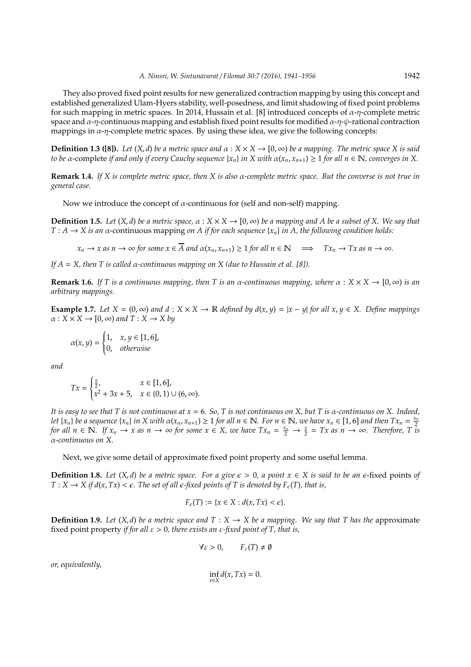They also proved fixed point results for new generalized contraction mapping by using this concept and established generalized Ulam-Hyers stability, well-posedness, and limit shadowing of fixed point problems for such mapping in metric spaces. In 2014, Hussain et al. [8] introduced concepts of  $\alpha$ -η-complete metric space and  $\alpha$ -η-continuous mapping and establish fixed point results for modified  $\alpha$ -η-ψ-rational contraction mappings in  $\alpha$ -η-complete metric spaces. By using these idea, we give the following concepts:

**Definition 1.3 ([8]).** *Let*  $(X, d)$  *be a metric space and*  $\alpha : X \times X \rightarrow [0, \infty)$  *be a mapping. The metric space* X *is said to be*  $\alpha$ -complete *if and only if every Cauchy sequence*  $\{x_n\}$  *in*  $X$  *with*  $\alpha(x_n, x_{n+1}) \geq 1$  *for all*  $n \in \mathbb{N}$ *, converges in*  $X$ *.* 

**Remark 1.4.** *If X is complete metric space, then X is also* α*-complete metric space. But the converse is not true in general case.*

Now we introduce the concept of  $\alpha$ -continuous for (self and non-self) mapping.

**Definition 1.5.** Let  $(X, d)$  be a metric space,  $\alpha : X \times X \to [0, \infty)$  be a mapping and A be a subset of X. We say that  $T : A \rightarrow X$  *is an*  $\alpha$ -continuous mapping *on* A *if for each sequence* { $x_n$ } *in* A, the following condition holds:

 $x_n \to x$  *as*  $n \to \infty$  *for some*  $x \in \overline{A}$  *and*  $\alpha(x_n, x_{n+1}) \ge 1$  *for all*  $n \in \mathbb{N} \implies Tx_n \to Tx$  *as*  $n \to \infty$ *.* 

*If A* = *X, then T is called* α*-continuous mapping on X (due to Hussain et al. [8]).*

**Remark 1.6.** *If* T is a continuous mapping, then T is an  $\alpha$ -continuous mapping, where  $\alpha : X \times X \to [0, \infty)$  *is an arbitrary mappings.*

**Example 1.7.** *Let*  $X = (0, \infty)$  *and*  $d : X \times X \rightarrow \mathbb{R}$  *defined by*  $d(x, y) = |x - y|$  *for all*  $x, y \in X$ *. Define mappings*  $\alpha: X \times X \rightarrow [0, \infty)$  and  $T: X \rightarrow X$  by

$$
\alpha(x, y) = \begin{cases} 1, & x, y \in [1, 6], \\ 0, & otherwise \end{cases}
$$

*and*

$$
Tx = \begin{cases} \frac{x}{2}, & x \in [1,6], \\ x^2 + 3x + 5, & x \in (0,1) \cup (6,\infty). \end{cases}
$$

*It is easy to see that T is not continuous at x* = 6*. So, T is not continuous on X, but T is* α*-continuous on X. Indeed,* let  $\{x_n\}$  be a sequence  $\{x_n\}$  in X with  $\alpha(x_n, x_{n+1}) \ge 1$  for all  $n \in \mathbb{N}$ . For  $n \in \mathbb{N}$ , we have  $x_n \in [1, 6]$  and then  $Tx_n = \frac{x_n}{2}$ *for all*  $n \in \mathbb{N}$ . If  $x_n \to x$  as  $n \to \infty$  for some  $x \in X$ , we have  $Tx_n = \frac{x_n}{2} \to \frac{x}{2} = Tx$  as  $n \to \infty$ . Therefore, T is α*-continuous on X.*

Next, we give some detail of approximate fixed point property and some useful lemma.

**Definition 1.8.** *Let*  $(X, d)$  *be a metric space. For a give*  $\epsilon > 0$ , a point  $x \in X$  *is said to be an*  $\epsilon$ -fixed points of  $T: X \to X$  *if d*(*x*, *Tx*) <  $\epsilon$ *. The set of all*  $\epsilon$ -fixed points of *T* is denoted by  $F_{\epsilon}(T)$ , that is,

$$
F_{\epsilon}(T) := \{x \in X : d(x, Tx) < \epsilon\}.
$$

**Definition 1.9.** *Let*  $(X, d)$  *be a metric space and*  $T : X \rightarrow X$  *be a mapping. We say that*  $T$  *has the* approximate fixed point property *if for all* ε > 0*, there exists an* ε*-fixed point of T, that is,*

$$
\forall \varepsilon > 0, \qquad F_{\varepsilon}(T) \neq \emptyset
$$

*or, equivalently,*

$$
\inf_{x\in X}d(x,Tx)=0.
$$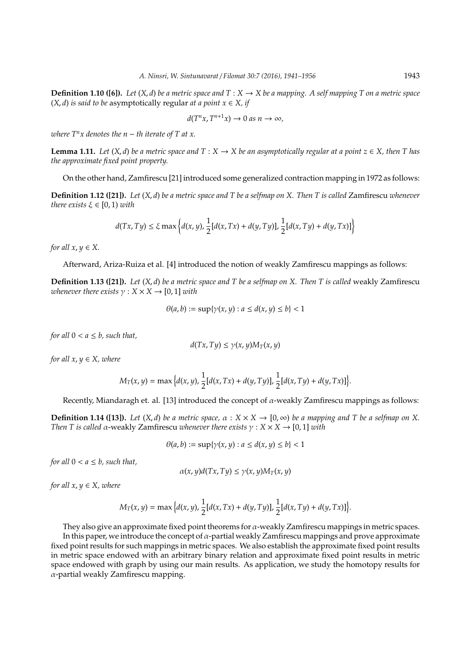**Definition 1.10 ([6]).** Let  $(X, d)$  be a metric space and  $T : X \to X$  be a mapping. A self mapping T on a metric space  $(X, d)$  *is said to be* asymptotically regular *at a point*  $x \in X$ *, if* 

$$
d(T^n x, T^{n+1} x) \to 0 \text{ as } n \to \infty,
$$

*where*  $T^n$ *x* denotes the  $n - th$  iterate of T at x.

**Lemma 1.11.** *Let*  $(X, d)$  *be a metric space and*  $T : X \to X$  *be an asymptotically regular at a point*  $z \in X$ *, then*  $T$  *has the approximate fixed point property.*

On the other hand, Zamfirescu [21] introduced some generalized contraction mapping in 1972 as follows:

**Definition 1.12 ([21]).** *Let* (*X*, *d*) *be a metric space and T be a selfmap on X. Then T is called* Zamfirescu *whenever there exists*  $\xi \in [0, 1)$  *with* 

$$
d(Tx, Ty) \le \xi \max \left\{ d(x, y), \frac{1}{2} [d(x, Tx) + d(y, Ty)], \frac{1}{2} [d(x, Ty) + d(y, Tx)] \right\}
$$

*for all*  $x, y \in X$ .

Afterward, Ariza-Ruiza et al. [4] introduced the notion of weakly Zamfirescu mappings as follows:

**Definition 1.13 ([21]).** *Let* (*X*, *d*) *be a metric space and T be a selfmap on X. Then T is called* weakly Zamfirescu *whenever there exists*  $\gamma$  :  $X \times X \rightarrow [0, 1]$  *with* 

$$
\theta(a, b) := \sup \{ \gamma(x, y) : a \le d(x, y) \le b \} < 1
$$

*for all*  $0 < a \leq b$ *, such that*,

$$
d(Tx,Ty) \leq \gamma(x,y)M_T(x,y)
$$

*for all*  $x, y \in X$ *, where* 

$$
M_T(x, y) = \max \Big\{ d(x, y), \frac{1}{2} [d(x, Tx) + d(y, Ty)], \frac{1}{2} [d(x, Ty) + d(y, Tx)] \Big\}.
$$

Recently, Miandaragh et. al. [13] introduced the concept of  $\alpha$ -weakly Zamfirescu mappings as follows:

**Definition 1.14 ([13]).** Let  $(X, d)$  be a metric space,  $\alpha : X \times X \to [0, \infty)$  be a mapping and T be a selfmap on X. *Then T is called α-weakly Zamfirescu whenever there exists*  $\gamma$  :  $X \times X \rightarrow [0, 1]$  *with* 

$$
\theta(a,b) := \sup\{\gamma(x,y) : a \le d(x,y) \le b\} < 1
$$

*for all*  $0 < a \leq b$ *, such that*,

$$
\alpha(x, y)d(Tx, Ty) \leq \gamma(x, y)M_T(x, y)
$$

*for all*  $x, y \in X$ *, where* 

$$
M_T(x, y) = \max\Big\{d(x, y), \frac{1}{2}[d(x, Tx) + d(y, Ty)], \frac{1}{2}[d(x, Ty) + d(y, Tx)]\Big\}.
$$

They also give an approximate fixed point theorems for  $\alpha$ -weakly Zamfirescu mappings in metric spaces. In this paper, we introduce the concept of  $\alpha$ -partial weakly Zamfirescu mappings and prove approximate fixed point results for such mappings in metric spaces. We also establish the approximate fixed point results in metric space endowed with an arbitrary binary relation and approximate fixed point results in metric space endowed with graph by using our main results. As application, we study the homotopy results for α-partial weakly Zamfirescu mapping.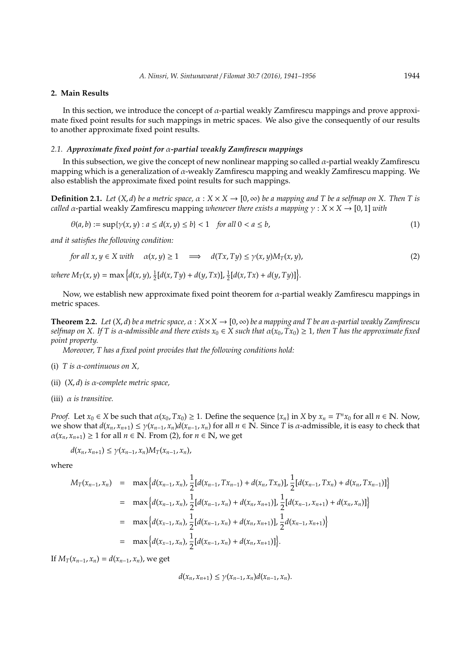## **2. Main Results**

In this section, we introduce the concept of α-partial weakly Zamfirescu mappings and prove approximate fixed point results for such mappings in metric spaces. We also give the consequently of our results to another approximate fixed point results.

# *2.1. Approximate fixed point for* α*-partial weakly Zamfirescu mappings*

In this subsection, we give the concept of new nonlinear mapping so called  $\alpha$ -partial weakly Zamfirescu mapping which is a generalization of  $\alpha$ -weakly Zamfirescu mapping and weakly Zamfirescu mapping. We also establish the approximate fixed point results for such mappings.

**Definition 2.1.** *Let*  $(X, d)$  *be a metric space,*  $\alpha : X \times X \to [0, \infty)$  *be a mapping and* T *be a selfmap on* X. Then T is *called*  $\alpha$ -partial weakly Zamfirescu mapping *whenever there exists a mapping*  $\gamma$  :  $X \times X \rightarrow [0, 1]$  *with* 

$$
\theta(a,b) := \sup\{\gamma(x,y) : a \le d(x,y) \le b\} < 1 \quad \text{for all } 0 < a \le b,\tag{1}
$$

*and it satisfies the following condition:*

for all 
$$
x, y \in X
$$
 with  $\alpha(x, y) \ge 1 \implies d(Tx, Ty) \le \gamma(x, y)M_T(x, y),$  (2)

 $where M_T(x, y) = \max \Big\{ d(x, y), \frac{1}{2}[d(x, Ty) + d(y, Tx)], \frac{1}{2}[d(x, Tx) + d(y, Ty)] \Big\}.$ 

Now, we establish new approximate fixed point theorem for  $\alpha$ -partial weakly Zamfirescu mappings in metric spaces.

**Theorem 2.2.** *Let*  $(X, d)$  *be a metric space*,  $\alpha : X \times X \to [0, \infty)$  *be a mapping and T be an*  $\alpha$ *-partial weakly Zamfirescu selfmap on X. If T is*  $\alpha$ *-admissible and there exists*  $x_0 \in X$  such that  $\alpha(x_0, Tx_0) \geq 1$ , then T has the approximate fixed *point property.*

*Moreover, T has a fixed point provides that the following conditions hold:*

- (i) *T is* α*-continuous on X,*
- (ii) (*X*, *d*) *is* α*-complete metric space,*
- (iii) α *is transitive.*

*Proof.* Let  $x_0 \in X$  be such that  $\alpha(x_0, Tx_0) \ge 1$ . Define the sequence  $\{x_n\}$  in  $X$  by  $x_n = T^n x_0$  for all  $n \in \mathbb{N}$ . Now, we show that  $d(x_n, x_{n+1}) \leq \gamma(x_{n-1}, x_n) d(x_{n-1}, x_n)$  for all  $n \in \mathbb{N}$ . Since T is  $\alpha$ -admissible, it is easy to check that  $\alpha(x_n, x_{n+1}) \ge 1$  for all  $n \in \mathbb{N}$ . From (2), for  $n \in \mathbb{N}$ , we get

$$
d(x_n, x_{n+1}) \leq \gamma(x_{n-1}, x_n) M_T(x_{n-1}, x_n),
$$

where

$$
M_T(x_{n-1}, x_n) = \max \{ d(x_{n-1}, x_n), \frac{1}{2} [d(x_{n-1}, Tx_{n-1}) + d(x_n, Tx_n)] \} , \frac{1}{2} [d(x_{n-1}, Tx_n) + d(x_n, Tx_{n-1})] \}
$$
  
\n
$$
= \max \{ d(x_{n-1}, x_n), \frac{1}{2} [d(x_{n-1}, x_n) + d(x_n, x_{n+1})] \} , \frac{1}{2} [d(x_{n-1}, x_{n+1}) + d(x_n, x_n)] \}
$$
  
\n
$$
= \max \{ d(x_{n-1}, x_n), \frac{1}{2} [d(x_{n-1}, x_n) + d(x_n, x_{n+1})] \} , \frac{1}{2} d(x_{n-1}, x_{n+1}) \}
$$
  
\n
$$
= \max \{ d(x_{n-1}, x_n), \frac{1}{2} [d(x_{n-1}, x_n) + d(x_n, x_{n+1})] \} .
$$

If  $M_T(x_{n-1}, x_n) = d(x_{n-1}, x_n)$ , we get

$$
d(x_n, x_{n+1}) \leq \gamma(x_{n-1}, x_n) d(x_{n-1}, x_n).
$$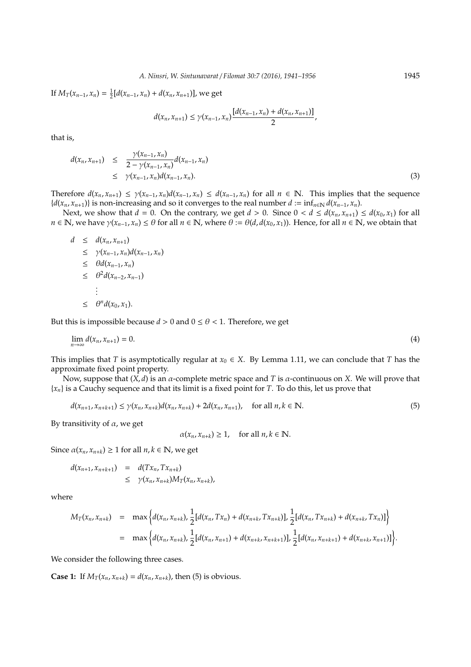If  $M_T(x_{n-1}, x_n) = \frac{1}{2} [d(x_{n-1}, x_n) + d(x_n, x_{n+1})]$ , we get

$$
d(x_n,x_{n+1}) \leq \gamma(x_{n-1},x_n) \frac{[d(x_{n-1},x_n) + d(x_n,x_{n+1})]}{2},
$$

that is,

$$
d(x_n, x_{n+1}) \leq \frac{\gamma(x_{n-1}, x_n)}{2 - \gamma(x_{n-1}, x_n)} d(x_{n-1}, x_n) \leq \gamma(x_{n-1}, x_n) d(x_{n-1}, x_n).
$$
\n(3)

Therefore  $d(x_n, x_{n+1}) \leq \gamma(x_{n-1}, x_n) d(x_{n-1}, x_n) \leq d(x_{n-1}, x_n)$  for all  $n \in \mathbb{N}$ . This implies that the sequence *{* $d(x_n, x_{n+1})$ } is non-increasing and so it converges to the real number *d* := inf<sub>*n*∈N</sub> *d*( $x_{n-1}$ ,  $x_n$ ).

Next, we show that  $d = 0$ . On the contrary, we get  $d > 0$ . Since  $0 < d \le d(x_n, x_{n+1}) \le d(x_0, x_1)$  for all  $n \in \mathbb{N}$ , we have  $\gamma(x_{n-1}, x_n) \leq \theta$  for all  $n \in \mathbb{N}$ , where  $\theta := \theta(d, d(x_0, x_1))$ . Hence, for all  $n \in \mathbb{N}$ , we obtain that

$$
d \leq d(x_n, x_{n+1})
$$
  
\n
$$
\leq \gamma(x_{n-1}, x_n) d(x_{n-1}, x_n)
$$
  
\n
$$
\leq \theta d(x_{n-1}, x_n)
$$
  
\n
$$
\leq \theta^2 d(x_{n-2}, x_{n-1})
$$
  
\n:  
\n
$$
\leq \theta^n d(x_0, x_1).
$$

But this is impossible because  $d > 0$  and  $0 \le \theta < 1$ . Therefore, we get

$$
\lim_{n \to \infty} d(x_n, x_{n+1}) = 0. \tag{4}
$$

This implies that *T* is asymptotically regular at  $x_0 \in X$ . By Lemma 1.11, we can conclude that *T* has the approximate fixed point property.

Now, suppose that  $(X, d)$  is an  $\alpha$ -complete metric space and *T* is  $\alpha$ -continuous on *X*. We will prove that {*xn*} is a Cauchy sequence and that its limit is a fixed point for *T*. To do this, let us prove that

$$
d(x_{n+1}, x_{n+k+1}) \le \gamma(x_n, x_{n+k})d(x_n, x_{n+k}) + 2d(x_n, x_{n+1}), \quad \text{for all } n, k \in \mathbb{N}.
$$
 (5)

By transitivity of  $\alpha$ , we get

 $\alpha(x_n, x_{n+k}) \geq 1$ , for all  $n, k \in \mathbb{N}$ .

Since  $\alpha(x_n, x_{n+k}) \geq 1$  for all  $n, k \in \mathbb{N}$ , we get

$$
d(x_{n+1}, x_{n+k+1}) = d(Tx_n, Tx_{n+k})
$$
  

$$
\leq \gamma(x_n, x_{n+k}) M_T(x_n, x_{n+k}),
$$

where

$$
M_T(x_n, x_{n+k}) = \max \Big\{ d(x_n, x_{n+k}), \frac{1}{2} [d(x_n, Tx_n) + d(x_{n+k}, Tx_{n+k})], \frac{1}{2} [d(x_n, Tx_{n+k}) + d(x_{n+k}, Tx_n)] \Big\}
$$
  
= 
$$
\max \Big\{ d(x_n, x_{n+k}), \frac{1}{2} [d(x_n, x_{n+1}) + d(x_{n+k}, x_{n+k+1})], \frac{1}{2} [d(x_n, x_{n+k+1}) + d(x_{n+k}, x_{n+1})] \Big\}.
$$

We consider the following three cases.

**Case 1:** If  $M_T(x_n, x_{n+k}) = d(x_n, x_{n+k})$ , then (5) is obvious.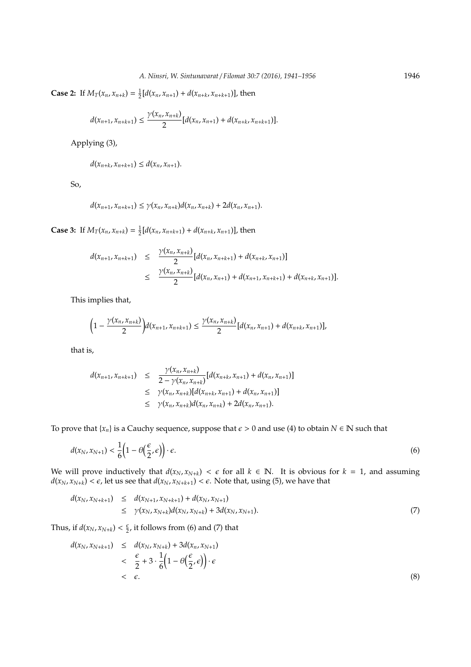**Case 2:** If  $M_T(x_n, x_{n+k}) = \frac{1}{2} [d(x_n, x_{n+1}) + d(x_{n+k}, x_{n+k+1})]$ , then

$$
d(x_{n+1},x_{n+k+1}) \leq \frac{\gamma(x_n,x_{n+k})}{2}[d(x_n,x_{n+1})+d(x_{n+k},x_{n+k+1})].
$$

Applying (3),

$$
d(x_{n+k}, x_{n+k+1}) \leq d(x_n, x_{n+1}).
$$

So,

$$
d(x_{n+1}, x_{n+k+1}) \leq \gamma(x_n, x_{n+k})d(x_n, x_{n+k}) + 2d(x_n, x_{n+1}).
$$

**Case 3:** If  $M_T(x_n, x_{n+k}) = \frac{1}{2} [d(x_n, x_{n+k+1}) + d(x_{n+k}, x_{n+1})]$ , then

$$
d(x_{n+1}, x_{n+k+1}) \leq \frac{\gamma(x_n, x_{n+k})}{2} [d(x_n, x_{n+k+1}) + d(x_{n+k}, x_{n+1})]
$$
  
 
$$
\leq \frac{\gamma(x_n, x_{n+k})}{2} [d(x_n, x_{n+1}) + d(x_{n+1}, x_{n+k+1}) + d(x_{n+k}, x_{n+1})].
$$

This implies that,

$$
\left(1-\frac{\gamma(x_n,x_{n+k})}{2}\right)d(x_{n+1},x_{n+k+1})\leq \frac{\gamma(x_n,x_{n+k})}{2}[d(x_n,x_{n+1})+d(x_{n+k},x_{n+1})],
$$

that is,

$$
d(x_{n+1}, x_{n+k+1}) \leq \frac{\gamma(x_n, x_{n+k})}{2 - \gamma(x_n, x_{n+k})} [d(x_{n+k}, x_{n+1}) + d(x_n, x_{n+1})]
$$
  
\n
$$
\leq \gamma(x_n, x_{n+k}) [d(x_{n+k}, x_{n+1}) + d(x_n, x_{n+1})]
$$
  
\n
$$
\leq \gamma(x_n, x_{n+k}) d(x_n, x_{n+k}) + 2d(x_n, x_{n+1}).
$$

To prove that { $x_n$ } is a Cauchy sequence, suppose that  $\epsilon > 0$  and use (4) to obtain  $N \in \mathbb{N}$  such that

$$
d(x_N, x_{N+1}) < \frac{1}{6} \left( 1 - \theta \left( \frac{\epsilon}{2}, \epsilon \right) \right) \cdot \epsilon. \tag{6}
$$

We will prove inductively that  $d(x_N, x_{N+k}) < \epsilon$  for all  $k \in \mathbb{N}$ . It is obvious for  $k = 1$ , and assuming  $d(x_N, x_{N+k}) < \epsilon$ , let us see that  $d(x_N, x_{N+k+1}) < \epsilon$ . Note that, using (5), we have that

$$
d(x_N, x_{N+k+1}) \le d(x_{N+1}, x_{N+k+1}) + d(x_N, x_{N+1})
$$
  
\n
$$
\le \gamma(x_N, x_{N+k})d(x_N, x_{N+k}) + 3d(x_N, x_{N+1}).
$$
\n(7)

Thus, if  $d(x_N, x_{N+k}) < \frac{\epsilon}{2}$ , it follows from (6) and (7) that

$$
d(x_N, x_{N+k+1}) \leq d(x_N, x_{N+k}) + 3d(x_n, x_{N+1})
$$
  

$$
< \frac{\epsilon}{2} + 3 \cdot \frac{1}{6} \left( 1 - \theta \left( \frac{\epsilon}{2}, \epsilon \right) \right) \cdot \epsilon
$$
  

$$
< \epsilon.
$$
 (8)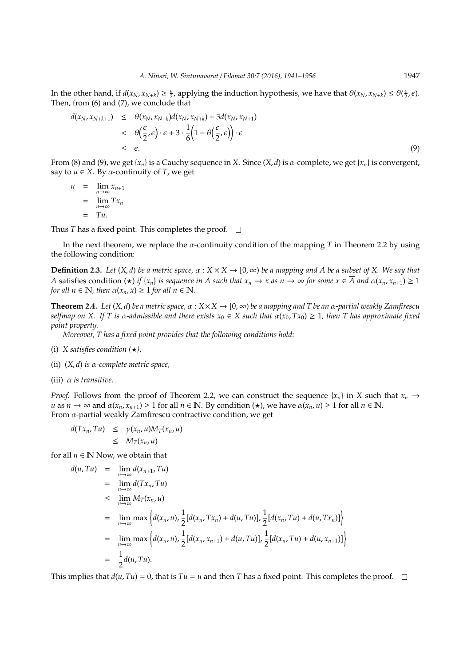In the other hand, if  $d(x_N, x_{N+k}) \ge \frac{\epsilon}{2}$ , applying the induction hypothesis, we have that  $\theta(x_N, x_{N+k}) \le \theta(\frac{\epsilon}{2}, \epsilon)$ . Then, from (6) and (7), we conclude that

$$
d(x_N, x_{N+k+1}) \leq \theta(x_N, x_{N+k})d(x_N, x_{N+k}) + 3d(x_N, x_{N+1})
$$
  

$$
< \theta\left(\frac{\epsilon}{2}, \epsilon\right) \cdot \epsilon + 3 \cdot \frac{1}{6} \left(1 - \theta\left(\frac{\epsilon}{2}, \epsilon\right)\right) \cdot \epsilon
$$
  

$$
\leq \epsilon.
$$
 (9)

From (8) and (9), we get {*xn*} is a Cauchy sequence in *X*. Since (*X*, *d*) is α-complete, we get {*xn*} is convergent, say to  $u \in X$ . By  $\alpha$ -continuity of *T*, we get

$$
u = \lim_{n \to \infty} x_{n+1}
$$
  
= 
$$
\lim_{n \to \infty} Tx_n
$$
  
= Tu.

Thus *T* has a fixed point. This completes the proof.  $\Box$ 

In the next theorem, we replace the α-continuity condition of the mapping *T* in Theorem 2.2 by using the following condition:

**Definition 2.3.** *Let*  $(X, d)$  *be a metric space,*  $\alpha : X \times X \to [0, \infty)$  *be a mapping and A be a subset of X. We say that A* satisfies condition  $(\star)$  *if*  $\{x_n\}$  *is sequence in A such that*  $x_n \to x$  *as*  $n \to \infty$  *for some*  $x \in \overline{A}$  *and*  $\alpha(x_n, x_{n+1}) \ge 1$ *for all*  $n \in \mathbb{N}$ *, then*  $\alpha(x_n, x) \geq 1$  *for all*  $n \in \mathbb{N}$ *.* 

**Theorem 2.4.** *Let*  $(X, d)$  *be a metric space*,  $\alpha : X \times X \to [0, \infty)$  *be a mapping and T be an*  $\alpha$ *-partial weakly Zamfirescu selfmap on X.* If *T* is α-admissible and there exists  $x_0$  ∈ *X* such that  $α(x_0, Tx_0) ≥ 1$ , then *T* has approximate fixed *point property.*

*Moreover, T has a fixed point provides that the following conditions hold:*

- (i) *X satisfies condition*  $(\star)$ *,*
- (ii) (*X*, *d*) *is* α*-complete metric space,*
- (iii) α *is transitive.*

*Proof.* Follows from the proof of Theorem 2.2, we can construct the sequence  ${x_n}$  in *X* such that  ${x_n} \rightarrow$ *u* as  $n \to \infty$  and  $\alpha(x_n, x_{n+1}) \ge 1$  for all  $n \in \mathbb{N}$ . By condition  $(\star)$ , we have  $\alpha(x_n, u) \ge 1$  for all  $n \in \mathbb{N}$ . From  $\alpha$ -partial weakly Zamfirescu contractive condition, we get

$$
d(Tx_n, Tu) \leq \gamma(x_n, u)M_T(x_n, u)
$$
  

$$
\leq M_T(x_n, u)
$$

for all  $n \in \mathbb{N}$  Now, we obtain that

$$
d(u, Tu) = \lim_{n \to \infty} d(x_{n+1}, Tu)
$$
  
\n
$$
= \lim_{n \to \infty} d(Tx_n, Tu)
$$
  
\n
$$
\leq \lim_{n \to \infty} M_T(x_n, u)
$$
  
\n
$$
= \lim_{n \to \infty} \max \{ d(x_n, u), \frac{1}{2} [d(x_n, Tx_n) + d(u, Tu)], \frac{1}{2} [d(x_n, Tu) + d(u, Tx_n)] \}
$$
  
\n
$$
= \lim_{n \to \infty} \max \{ d(x_n, u), \frac{1}{2} [d(x_n, x_{n+1}) + d(u, Tu)], \frac{1}{2} [d(x_n, Tu) + d(u, x_{n+1})] \}
$$
  
\n
$$
= \frac{1}{2} d(u, Tu).
$$

This implies that  $d(u, Tu) = 0$ , that is  $Tu = u$  and then *T* has a fixed point. This completes the proof.  $\Box$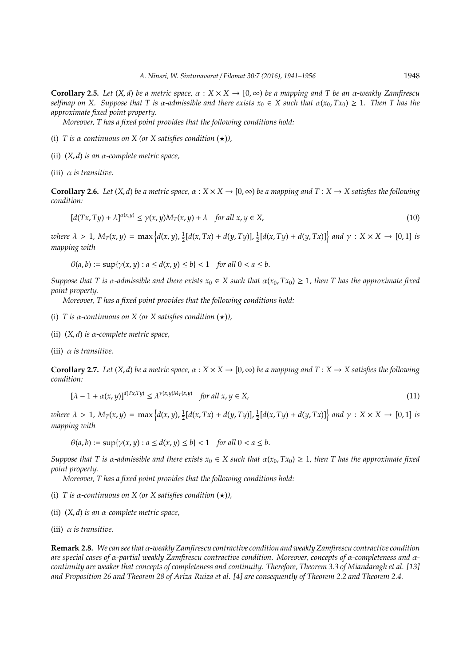**Corollary 2.5.** *Let*  $(X,d)$  *be a metric space,*  $\alpha : X \times X \to [0,\infty)$  *be a mapping and T be an*  $\alpha$ *-weakly Zamfirescu selfmap on X. Suppose that* T is  $\alpha$ -admissible and there exists  $x_0 \in X$  such that  $\alpha(x_0, Tx_0) \geq 1$ . Then T has the *approximate fixed point property.*

*Moreover, T has a fixed point provides that the following conditions hold:*

- (i) *T* is  $\alpha$ -continuous on *X* (or *X* satisfies condition  $(\star)$ ),
- (ii) (*X*, *d*) *is an* α*-complete metric space,*

(iii) α *is transitive.*

**Corollary 2.6.** *Let*  $(X, d)$  *be a metric space,*  $\alpha : X \times X \to [0, \infty)$  *be a mapping and*  $T : X \to X$  *satisfies the following condition:*

$$
[d(Tx, Ty) + \lambda]^{\alpha(x,y)} \le \gamma(x, y)M_T(x, y) + \lambda \quad \text{for all } x, y \in X,
$$
\n
$$
(10)
$$

where  $\lambda > 1$ ,  $M_T(x, y) = \max\left\{d(x, y), \frac{1}{2}[d(x, Tx) + d(y, Ty)], \frac{1}{2}[d(x, Ty) + d(y, Tx)]\right\}$  and  $\gamma : X \times X \to [0, 1]$  is *mapping with*

 $\theta(a, b) := \sup\{\gamma(x, y) : a \le d(x, y) \le b\} < 1$  *for all*  $0 < a \le b$ .

*Suppose that T* is  $\alpha$ -admissible and there exists  $x_0 \in X$  such that  $\alpha(x_0, Tx_0) \geq 1$ , then *T* has the approximate fixed *point property.*

*Moreover, T has a fixed point provides that the following conditions hold:*

- (i) *T* is  $\alpha$ -continuous on *X* (or *X* satisfies condition  $(\star)$ ),
- (ii) (*X*, *d*) *is* α*-complete metric space,*
- (iii) α *is transitive.*

**Corollary 2.7.** Let  $(X, d)$  be a metric space,  $\alpha : X \times X \to [0, \infty)$  be a mapping and  $T : X \to X$  satisfies the following *condition:*

$$
[\lambda - 1 + \alpha(x, y)]^{d(Tx, Ty)} \le \lambda^{\gamma(x, y)M_T(x, y)} \quad \text{for all } x, y \in X,
$$
\n
$$
(11)
$$

where  $\lambda > 1$ ,  $M_T(x, y) = \max\left\{d(x, y), \frac{1}{2}[d(x, Tx) + d(y, Ty)], \frac{1}{2}[d(x, Ty) + d(y, Tx)]\right\}$  and  $\gamma : X \times X \to [0, 1]$  is *mapping with*

 $\theta(a, b) := \sup\{\gamma(x, y) : a \le d(x, y) \le b\} < 1$  *for all*  $0 < a \le b$ .

*Suppose that T* is  $\alpha$ -admissible and there exists  $x_0 \in X$  such that  $\alpha(x_0, Tx_0) \geq 1$ , then *T* has the approximate fixed *point property.*

*Moreover, T has a fixed point provides that the following conditions hold:*

- (i) *T* is  $\alpha$ -continuous on *X* (or *X* satisfies condition  $(\star)$ ),
- (ii) (*X*, *d*) *is an* α*-complete metric space,*
- (iii) α *is transitive.*

**Remark 2.8.** *We can see that* α*-weakly Zamfirescu contractive condition and weakly Zamfirescu contractive condition are special cases of* α*-partial weakly Zamfirescu contractive condition. Moreover, concepts of* α*-completeness and* α*continuity are weaker that concepts of completeness and continuity. Therefore, Theorem 3.3 of Miandaragh et al. [13] and Proposition 26 and Theorem 28 of Ariza-Ruiza et al. [4] are consequently of Theorem 2.2 and Theorem 2.4.*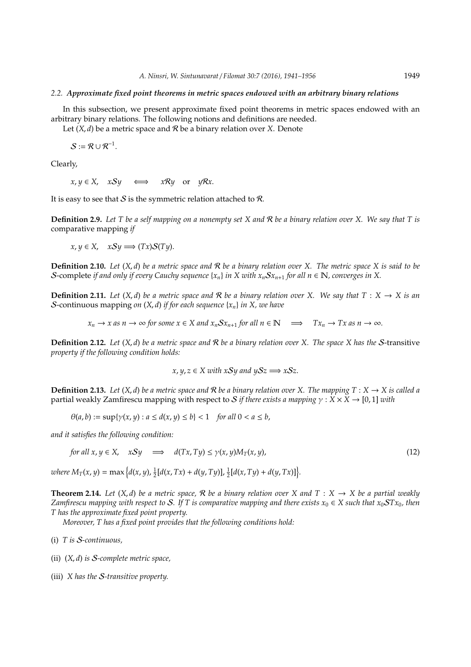#### *2.2. Approximate fixed point theorems in metric spaces endowed with an arbitrary binary relations*

In this subsection, we present approximate fixed point theorems in metric spaces endowed with an arbitrary binary relations. The following notions and definitions are needed.

Let  $(X, d)$  be a metric space and  $\mathcal R$  be a binary relation over X. Denote

 $S := \mathcal{R} \cup \mathcal{R}^{-1}.$ 

Clearly,

 $x, y \in X$ ,  $xSy \iff xRy$  or  $yRx$ .

It is easy to see that  $S$  is the symmetric relation attached to  $R$ .

**Definition 2.9.** *Let T be a self mapping on a nonempty set X and* R *be a binary relation over X. We say that T is* comparative mapping *if*

 $x, y \in X$ ,  $xSy \Longrightarrow (Tx)S(Ty)$ .

**Definition 2.10.** *Let* (*X*, *d*) *be a metric space and* R *be a binary relation over X. The metric space X is said to be* S-complete *if and only if every Cauchy sequence*  $\{x_n\}$  *in X with*  $x_nSx_{n+1}$  *for all*  $n \in \mathbb{N}$ *, converges in X.* 

**Definition 2.11.** *Let*  $(X, d)$  *be a metric space and* R *be a binary relation over* X. We say that  $T : X \rightarrow X$  *is an* S-continuous mapping *on* (*X*, *d*) *if for each sequence* {*xn*} *in X, we have*

 $x_n \to x$  *as*  $n \to \infty$  *for some*  $x \in X$  *and*  $x_n S x_{n+1}$  *for all*  $n \in \mathbb{N} \implies Tx_n \to Tx$  *as*  $n \to \infty$ *.* 

**Definition 2.12.** *Let* (*X*, *d*) *be a metric space and* R *be a binary relation over X. The space X has the* S-transitive *property if the following condition holds:*

$$
x, y, z \in X
$$
 with  $xSy$  and  $ySz \implies xSz$ .

**Definition 2.13.** *Let*  $(X, d)$  *be a metric space and*  $\mathcal{R}$  *be a binary relation over* X. The mapping  $T : X \to X$  *is called a* partial weakly Zamfirescu mapping with respect to S *if there exists a mapping*  $\gamma$  :  $X \times X \rightarrow [0, 1]$  *with* 

$$
\theta(a,b) := \sup\{\gamma(x,y) : a \le d(x,y) \le b\} < 1 \quad \text{for all } 0 < a \le b,
$$

*and it satisfies the following condition:*

for all 
$$
x, y \in X
$$
,  $xSy \implies d(Tx, Ty) \le \gamma(x, y)M_T(x, y)$ , 
$$
(12)
$$

where  $M_T(x, y) = \max \Big\{ d(x, y), \frac{1}{2}[d(x, Tx) + d(y, Ty)], \frac{1}{2}[d(x, Ty) + d(y, Tx)] \Big\}.$ 

**Theorem 2.14.** Let  $(X, d)$  be a metric space, R be a binary relation over X and  $T : X \rightarrow X$  be a partial weakly *Zamfirescu mapping with respect to* S. If T is comparative mapping and there exists  $x_0 \in X$  such that  $x_0$ ST $x_0$ , then *T has the approximate fixed point property.*

*Moreover, T has a fixed point provides that the following conditions hold:*

- (i) *T is* S*-continuous,*
- (ii) (*X*, *d*) *is* S*-complete metric space,*
- (iii) *X has the* S*-transitive property.*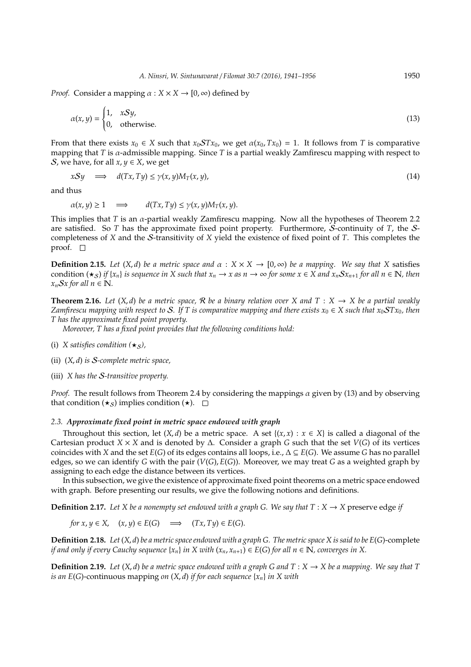*Proof.* Consider a mapping  $\alpha$  :  $X \times X \rightarrow [0, \infty)$  defined by

$$
\alpha(x, y) = \begin{cases} 1, & xSy, \\ 0, & \text{otherwise.} \end{cases}
$$
 (13)

From that there exists  $x_0 \in X$  such that  $x_0 STx_0$ , we get  $\alpha(x_0, Tx_0) = 1$ . It follows from *T* is comparative mapping that *T* is  $\alpha$ -admissible mapping. Since *T* is a partial weakly Zamfirescu mapping with respect to S, we have, for all  $x, y \in X$ , we get

$$
xSy \quad \Longrightarrow \quad d(Tx, Ty) \le \gamma(x, y)M_T(x, y), \tag{14}
$$

and thus

$$
\alpha(x, y) \ge 1 \quad \Longrightarrow \qquad d(Tx, Ty) \le \gamma(x, y)M_T(x, y).
$$

This implies that *T* is an α-partial weakly Zamfirescu mapping. Now all the hypotheses of Theorem 2.2 are satisfied. So *T* has the approximate fixed point property. Furthermore, S-continuity of *T*, the Scompleteness of *X* and the S-transitivity of *X* yield the existence of fixed point of *T*. This completes the proof.  $\square$ 

**Definition 2.15.** *Let*  $(X, d)$  *be a metric space and*  $\alpha : X \times X \to [0, \infty)$  *be a mapping. We say that* X satisfies condition  $(\star_{S})$  *if*  $\{x_{n}\}$  *is sequence in* X such that  $x_{n} \to x$  *as*  $n \to \infty$  for some  $x \in X$  and  $x_{n}Sx_{n+1}$  for all  $n \in \mathbb{N}$ , then  $x_nSx$  for all  $n \in \mathbb{N}$ .

**Theorem 2.16.** Let  $(X, d)$  be a metric space, R be a binary relation over X and  $T : X \rightarrow X$  be a partial weakly *Zamfirescu mapping with respect to* S. If T is comparative mapping and there exists  $x_0 \in X$  such that  $x_0STx_0$ , then *T has the approximate fixed point property.*

*Moreover, T has a fixed point provides that the following conditions hold:*

- (i) *X satisfies condition*  $(*_S)$ ,
- (ii) (*X*, *d*) *is* S*-complete metric space,*
- (iii) *X has the* S*-transitive property.*

*Proof.* The result follows from Theorem 2.4 by considering the mappings α given by (13) and by observing that condition  $(\star_S)$  implies condition  $(\star)$ .  $\Box$ 

#### *2.3. Approximate fixed point in metric space endowed with graph*

Throughout this section, let  $(X, d)$  be a metric space. A set  $\{(x, x) : x \in X\}$  is called a diagonal of the Cartesian product *X* × *X* and is denoted by ∆. Consider a graph *G* such that the set *V*(*G*) of its vertices coincides with *X* and the set *E*(*G*) of its edges contains all loops, i.e.,  $\Delta \subseteq E(G)$ . We assume *G* has no parallel edges, so we can identify *G* with the pair (*V*(*G*), *E*(*G*)). Moreover, we may treat *G* as a weighted graph by assigning to each edge the distance between its vertices.

In this subsection, we give the existence of approximate fixed point theorems on a metric space endowed with graph. Before presenting our results, we give the following notions and definitions.

**Definition 2.17.** *Let X be a nonempty set endowed with a graph G. We say that*  $T : X \rightarrow X$  preserve edge *if* 

for 
$$
x, y \in X
$$
,  $(x, y) \in E(G)$   $\implies$   $(Tx, Ty) \in E(G)$ .

**Definition 2.18.** *Let* (*X*, *d*) *be a metric space endowed with a graph G. The metric space X is said to be E*(*G*)-complete *if and only if every Cauchy sequence*  $\{x_n\}$  *in* X with  $(x_n, x_{n+1}) \in E(G)$  *for all n*  $\in \mathbb{N}$ *, converges in* X.

**Definition 2.19.** Let  $(X, d)$  be a metric space endowed with a graph G and  $T : X \to X$  be a mapping. We say that T *is an E*(*G*)-continuous mapping *on* (*X*, *d*) *if for each sequence* {*xn*} *in X with*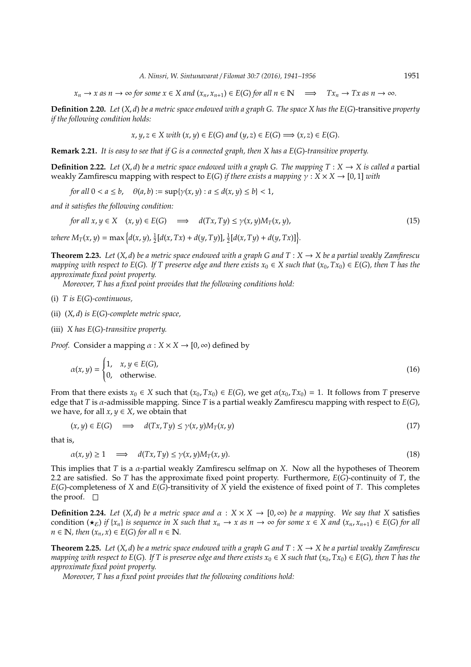$x_n \to x$  as  $n \to \infty$  for some  $x \in X$  and  $(x_n, x_{n+1}) \in E(G)$  for all  $n \in \mathbb{N} \implies Tx_n \to Tx$  as  $n \to \infty$ .

**Definition 2.20.** *Let* (*X*, *d*) *be a metric space endowed with a graph G. The space X has the E*(*G*)-transitive *property if the following condition holds:*

$$
x, y, z \in X
$$
 with  $(x, y) \in E(G)$  and  $(y, z) \in E(G) \Longrightarrow (x, z) \in E(G)$ .

**Remark 2.21.** *It is easy to see that if G is a connected graph, then X has a E*(*G*)*-transitive property.*

**Definition 2.22.** Let  $(X, d)$  be a metric space endowed with a graph G. The mapping  $T : X \to X$  is called a partial weakly Zamfirescu mapping with respect to *E*(*G*) *if there exists a mapping* γ : *X* × *X* → [0, 1] *with*

*for all*  $0 < a \le b$ ,  $\theta(a, b) := \sup\{\gamma(x, y) : a \le d(x, y) \le b\} < 1$ ,

*and it satisfies the following condition:*

for all 
$$
x, y \in X
$$
  $(x, y) \in E(G)$   $\implies d(Tx, Ty) \le \gamma(x, y)M_T(x, y),$  (15)

where  $M_T(x, y) = \max \Big\{ d(x, y), \frac{1}{2}[d(x, Tx) + d(y, Ty)], \frac{1}{2}[d(x, Ty) + d(y, Tx)] \Big\}.$ 

**Theorem 2.23.** Let  $(X, d)$  be a metric space endowed with a graph G and  $T : X \to X$  be a partial weakly Zamfirescu *mapping with respect to E(G). If T preserve edge and there exists*  $x_0 \in X$  such that  $(x_0, Tx_0) \in E(G)$ *, then T has the approximate fixed point property.*

*Moreover, T has a fixed point provides that the following conditions hold:*

(i) 
$$
T
$$
 is  $E(G)$ -continuous,

(ii) (*X*, *d*) *is E*(*G*)*-complete metric space,*

(iii) *X has E*(*G*)*-transitive property.*

*Proof.* Consider a mapping  $\alpha$  :  $X \times X \rightarrow [0, \infty)$  defined by

$$
\alpha(x, y) = \begin{cases} 1, & x, y \in E(G), \\ 0, & \text{otherwise.} \end{cases}
$$
 (16)

From that there exists  $x_0 \in X$  such that  $(x_0, Tx_0) \in E(G)$ , we get  $\alpha(x_0, Tx_0) = 1$ . It follows from *T* preserve edge that *T* is α-admissible mapping. Since *T* is a partial weakly Zamfirescu mapping with respect to *E*(*G*), we have, for all  $x, y \in X$ , we obtain that

$$
(x, y) \in E(G) \quad \Longrightarrow \quad d(Tx, Ty) \le \gamma(x, y) M_T(x, y) \tag{17}
$$

that is,

$$
\alpha(x, y) \ge 1 \quad \implies \quad d(Tx, Ty) \le \gamma(x, y)M_T(x, y). \tag{18}
$$

This implies that *T* is a α-partial weakly Zamfirescu selfmap on *X*. Now all the hypotheses of Theorem 2.2 are satisfied. So *T* has the approximate fixed point property. Furthermore, *E*(*G*)-continuity of *T*, the *E*(*G*)-completeness of *X* and *E*(*G*)-transitivity of *X* yield the existence of fixed point of *T*. This completes the proof.  $\square$ 

**Definition 2.24.** *Let*  $(X, d)$  *be a metric space and*  $\alpha : X \times X \rightarrow [0, \infty)$  *be a mapping. We say that* X satisfies condition  $(\star_{\mathcal{E}})$  *if*  $\{x_n\}$  *is sequence in* X such that  $x_n \to x$  *as n*  $\to \infty$  *for some*  $x \in X$  *and*  $(x_n, x_{n+1}) \in E(G)$  *for all*  $n \in \mathbb{N}$ , then  $(x_n, x) \in E(G)$  for all  $n \in \mathbb{N}$ .

**Theorem 2.25.** Let  $(X, d)$  be a metric space endowed with a graph G and  $T : X \to X$  be a partial weakly Zamfirescu *mapping with respect to E(G). If T is preserve edge and there exists*  $x_0 \in X$  such that  $(x_0, Tx_0) \in E(G)$ , then T has the *approximate fixed point property.*

*Moreover, T has a fixed point provides that the following conditions hold:*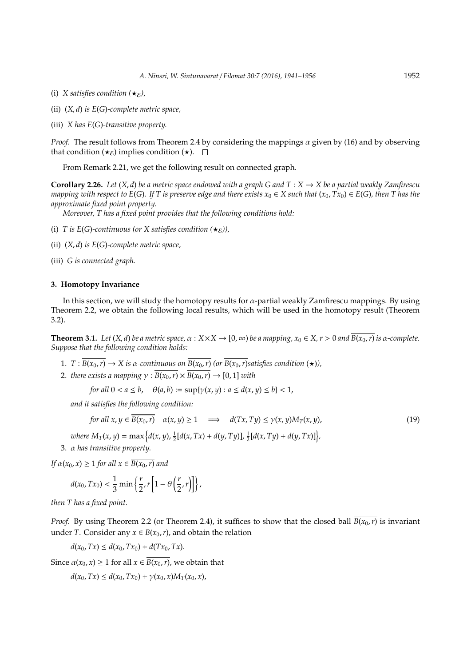- (i) *X satisfies condition*  $(\star_{\mathcal{E}})$ ,
- (ii) (*X*, *d*) *is E*(*G*)*-complete metric space,*
- (iii) *X has E*(*G*)*-transitive property.*

*Proof.* The result follows from Theorem 2.4 by considering the mappings  $\alpha$  given by (16) and by observing that condition  $(\star_{\mathcal{E}})$  implies condition  $(\star)$ .  $\Box$ 

From Remark 2.21, we get the following result on connected graph.

**Corollary 2.26.** *Let*  $(X, d)$  *be a metric space endowed with a graph G and*  $T : X \to X$  *be a partial weakly Zamfirescu mapping with respect to*  $E(G)$ *. If T* is preserve edge and there exists  $x_0 \in X$  such that  $(x_0, Tx_0) \in E(G)$ *, then T* has the *approximate fixed point property.*

*Moreover, T has a fixed point provides that the following conditions hold:*

- (i) *T* is  $E(G)$ -continuous (or *X* satisfies condition  $(\star_{\mathcal{E}})$ ),
- (ii) (*X*, *d*) *is E*(*G*)*-complete metric space,*
- (iii) *G is connected graph.*

## **3. Homotopy Invariance**

In this section, we will study the homotopy results for  $\alpha$ -partial weakly Zamfirescu mappings. By using Theorem 2.2, we obtain the following local results, which will be used in the homotopy result (Theorem 3.2).

**Theorem 3.1.** *Let*  $(X, d)$  *be a metric space,*  $\alpha : X \times X \to [0, \infty)$  *be a mapping,*  $x_0 \in X, r > 0$  *and*  $\overline{B(x_0, r)}$  *is*  $\alpha$ -complete. *Suppose that the following condition holds:*

- 1. *T* :  $\overline{B(x_0, r)} \to X$  is  $\alpha$ -continuous on  $\overline{B(x_0, r)}$  (or  $\overline{B(x_0, r)}$  satisfies condition  $(\star)$ ),
- 2. *there exists a mapping*  $\gamma$  :  $B(x_0, r) \times B(x_0, r) \rightarrow [0, 1]$  *with*

*for all*  $0 < a \le b$ ,  $\theta(a, b) := \sup\{\gamma(x, y) : a \le d(x, y) \le b\} < 1$ ,

*and it satisfies the following condition:*

for all 
$$
x, y \in \overline{B(x_0, r)}
$$
  $\alpha(x, y) \ge 1 \implies d(Tx, Ty) \le \gamma(x, y)M_T(x, y),$   
\nwhere  $M_T(x, y) = \max \{d(x, y), \frac{1}{2}[d(x, Tx) + d(y, Ty)], \frac{1}{2}[d(x, Ty) + d(y, Tx)]\},$  (19)

3. α *has transitive property.*

*If*  $\alpha(x_0, x) \geq 1$  *for all*  $x \in \overline{B(x_0, r)}$  *and* 

$$
d(x_0, Tx_0) < \frac{1}{3} \min \left\{ \frac{r}{2}, r \left[ 1 - \theta \left( \frac{r}{2}, r \right) \right] \right\},\
$$

*then T has a fixed point.*

*Proof.* By using Theorem 2.2 (or Theorem 2.4), it suffices to show that the closed ball  $\overline{B(x_0, r)}$  is invariant under *T*. Consider any  $x \in \overline{B(x_0, r)}$ , and obtain the relation

 $d(x_0, Tx) \leq d(x_0, Tx_0) + d(Tx_0, Tx).$ 

Since  $\alpha(x_0, x) \ge 1$  for all  $x \in \overline{B(x_0, r)}$ , we obtain that

 $d(x_0, Tx) \leq d(x_0, Tx_0) + \gamma(x_0, x)M_T(x_0, x)$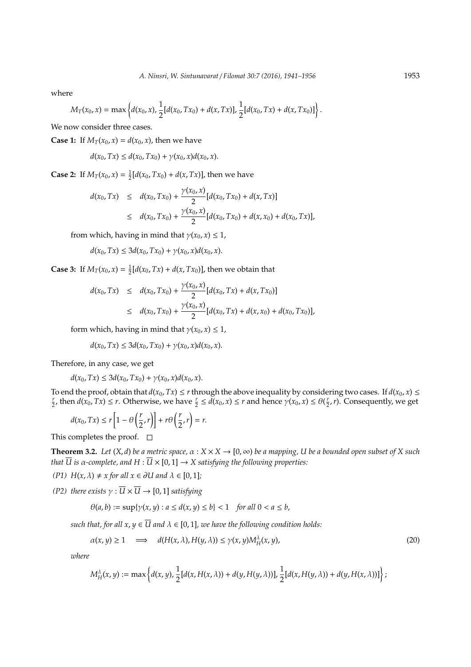where

$$
M_T(x_0, x) = \max \left\{ d(x_0, x), \frac{1}{2} [d(x_0, Tx_0) + d(x, Tx)], \frac{1}{2} [d(x_0, Tx) + d(x, Tx_0)] \right\}
$$

We now consider three cases.

**Case 1:** If  $M_T(x_0, x) = d(x_0, x)$ , then we have

$$
d(x_0, Tx) \leq d(x_0, Tx_0) + \gamma(x_0, x) d(x_0, x).
$$

**Case 2:** If  $M_T(x_0, x) = \frac{1}{2} [d(x_0, Tx_0) + d(x, Tx)]$ , then we have

$$
d(x_0, Tx) \leq d(x_0, Tx_0) + \frac{\gamma(x_0, x)}{2} [d(x_0, Tx_0) + d(x, Tx)]
$$
  
 
$$
\leq d(x_0, Tx_0) + \frac{\gamma(x_0, x)}{2} [d(x_0, Tx_0) + d(x, x_0) + d(x_0, Tx)],
$$

from which, having in mind that  $\gamma(x_0, x) \leq 1$ ,

$$
d(x_0, Tx) \le 3d(x_0, Tx_0) + \gamma(x_0, x)d(x_0, x).
$$

**Case 3:** If  $M_T(x_0, x) = \frac{1}{2} [d(x_0, Tx) + d(x, Tx_0)]$ , then we obtain that

$$
d(x_0, Tx) \leq d(x_0, Tx_0) + \frac{\gamma(x_0, x)}{2} [d(x_0, Tx) + d(x, Tx_0)]
$$
  
 
$$
\leq d(x_0, Tx_0) + \frac{\gamma(x_0, x)}{2} [d(x_0, Tx) + d(x, x_0) + d(x_0, Tx_0)],
$$

form which, having in mind that  $\gamma(x_0, x) \leq 1$ ,

 $d(x_0, Tx) \leq 3d(x_0, Tx_0) + \gamma(x_0, x)d(x_0, x).$ 

Therefore, in any case, we get

$$
d(x_0, Tx) \le 3d(x_0, Tx_0) + \gamma(x_0, x)d(x_0, x).
$$

To end the proof, obtain that  $d(x_0, Tx) \le r$  through the above inequality by considering two cases. If  $d(x_0, x) \le$  $\frac{r}{2}$ , then  $d(x_0, Tx) \le r$ . Otherwise, we have  $\frac{r}{2} \le d(x_0, x) \le r$  and hence  $\gamma(x_0, x) \le \theta(\frac{r}{2}, r)$ . Consequently, we get

$$
d(x_0, Tx) \le r \left[ 1 - \theta \left( \frac{r}{2}, r \right) \right] + r \theta \left( \frac{r}{2}, r \right) = r.
$$

This completes the proof.  $\square$ 

**Theorem 3.2.** *Let*  $(X, d)$  *be a metric space,*  $\alpha : X \times X \to [0, \infty)$  *be a mapping, U be a bounded open subset of X such that*  $\overline{U}$  *is*  $\alpha$ -complete, and  $H : \overline{U} \times [0,1] \rightarrow X$  satisfying the following properties:

*(P1)*  $H(x, \lambda) \neq x$  *for all*  $x \in \partial U$  *and*  $\lambda \in [0, 1]$ *;* 

*(P2) there exists*  $\gamma : \overline{U} \times \overline{U} \rightarrow [0, 1]$  *satisfying* 

$$
\theta(a, b) := \sup\{\gamma(x, y) : a \le d(x, y) \le b\} < 1 \quad \text{for all } 0 < a \le b,
$$

*such that, for all x,*  $y \in \overline{U}$  *and*  $\lambda \in [0, 1]$ *, we have the following condition holds:* 

$$
\alpha(x, y) \ge 1 \quad \implies \quad d(H(x, \lambda), H(y, \lambda)) \le \gamma(x, y) M_H^{\lambda}(x, y), \tag{20}
$$

*where*

$$
M_H^\lambda(x,y):=\max\left\{d(x,y),\frac12[d(x,H(x,\lambda))+d(y,H(y,\lambda))],\frac12[d(x,H(y,\lambda))+d(y,H(x,\lambda))]\right\};
$$

.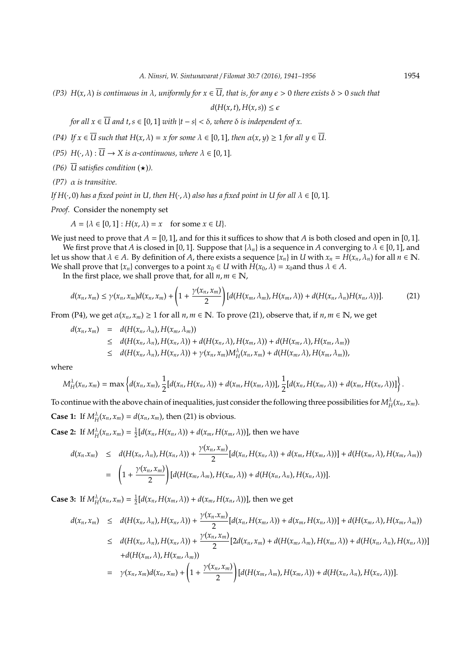*(P3) H*(*x*, λ) *is continuous in* λ*, uniformly for x* ∈ *U, that is, for any* > 0 *there exists* δ > 0 *such that*

$$
d(H(x,t),H(x,s))\leq \epsilon
$$

*for all*  $x \in \overline{U}$  *and*  $t, s \in [0, 1]$  *with*  $|t - s| < \delta$ *, where*  $\delta$  *is independent of*  $x$ *.* 

*(P4) If*  $x \in \overline{U}$  *such that*  $H(x, \lambda) = x$  *for some*  $\lambda \in [0, 1]$ *, then*  $\alpha(x, y) \ge 1$  *for all*  $y \in \overline{U}$ *.* 

- *(P5)*  $H(\cdot, \lambda)$  :  $\overline{U} \rightarrow X$  *is a*-continuous, where  $\lambda \in [0, 1]$ .
- *(P6)*  $\overline{U}$  satisfies condition  $(\star)$ *)*.
- *(P7)* α *is transitive.*

*If*  $H(\cdot, 0)$  *has a fixed point in U, then*  $H(\cdot, \lambda)$  *also has a fixed point in U for all*  $\lambda \in [0, 1]$ *.* 

*Proof.* Consider the nonempty set

$$
A = \{ \lambda \in [0,1] : H(x,\lambda) = x \text{ for some } x \in U \}.
$$

We just need to prove that  $A = [0, 1]$ , and for this it suffices to show that  $A$  is both closed and open in [0, 1]. We first prove that *A* is closed in [0, 1]. Suppose that  $\{\lambda_n\}$  is a sequence in *A* converging to  $\lambda \in [0,1]$ , and

let us show that  $\lambda \in A$ . By definition of A, there exists a sequence  $\{x_n\}$  in U with  $x_n = H(x_n, \lambda_n)$  for all  $n \in \mathbb{N}$ . We shall prove that  $\{x_n\}$  converges to a point  $x_0 \in U$  with  $H(x_0, \lambda) = x_0$  and thus  $\lambda \in A$ .

In the first place, we shall prove that, for all  $n, m \in \mathbb{N}$ ,

$$
d(x_n, x_m) \leq \gamma(x_n, x_m) d(x_n, x_m) + \left(1 + \frac{\gamma(x_n, x_m)}{2}\right) [d(H(x_m, \lambda_m), H(x_m, \lambda)) + d(H(x_n, \lambda_n)H(x_n, \lambda))]. \tag{21}
$$

From (P4), we get  $\alpha(x_n, x_m) \ge 1$  for all  $n, m \in \mathbb{N}$ . To prove (21), observe that, if  $n, m \in \mathbb{N}$ , we get

$$
d(x_n, x_m) = d(H(x_n, \lambda_n), H(x_m, \lambda_m))
$$
  
\n
$$
\leq d(H(x_n, \lambda_n), H(x_n, \lambda)) + d(H(x_n, \lambda), H(x_m, \lambda)) + d(H(x_m, \lambda), H(x_m, \lambda_m))
$$
  
\n
$$
\leq d(H(x_n, \lambda_n), H(x_n, \lambda)) + \gamma(x_n, x_m)M_H^{\lambda}(x_n, x_m) + d(H(x_m, \lambda), H(x_m, \lambda_m)),
$$

where

$$
M_H^{\lambda}(x_n,x_m)=\max\left\{d(x_n,x_m),\frac{1}{2}[d(x_n,H(x_n,\lambda))+d(x_m,H(x_m,\lambda))],\frac{1}{2}[d(x_n,H(x_m,\lambda))+d(x_m,H(x_n,\lambda))]\right\}.
$$

To continue with the above chain of inequalities, just consider the following three possibilities for  $M_H^{\lambda}(x_n,x_m)$ . **Case 1:** If  $M_H^{\lambda}(x_n, x_m) = d(x_n, x_m)$ , then (21) is obvious.

**Case 2:** If  $M_H^{\lambda}(x_n, x_m) = \frac{1}{2} [d(x_n, H(x_n, \lambda)) + d(x_m, H(x_m, \lambda))]$ , then we have

$$
d(x_n.x_m) \leq d(H(x_n,\lambda_n),H(x_n,\lambda)) + \frac{\gamma(x_n,x_m)}{2}[d(x_n,H(x_n,\lambda)) + d(x_m,H(x_m,\lambda))] + d(H(x_m,\lambda),H(x_m,\lambda_m))
$$
  
= 
$$
\left(1 + \frac{\gamma(x_n,x_m)}{2}\right)[d(H(x_m,\lambda_m),H(x_m,\lambda)) + d(H(x_n,\lambda_n),H(x_n,\lambda))].
$$

**Case 3:** If  $M_H^{\lambda}(x_n, x_m) = \frac{1}{2} [d(x_n, H(x_m, \lambda)) + d(x_m, H(x_n, \lambda))]$ , then we get

$$
d(x_n, x_m) \leq d(H(x_n, \lambda_n), H(x_n, \lambda)) + \frac{\gamma(x_n, x_m)}{2} [d(x_n, H(x_m, \lambda)) + d(x_m, H(x_n, \lambda))] + d(H(x_m, \lambda), H(x_m, \lambda_m))
$$
  
\n
$$
\leq d(H(x_n, \lambda_n), H(x_n, \lambda)) + \frac{\gamma(x_n, x_m)}{2} [2d(x_n, x_m) + d(H(x_m, \lambda_m), H(x_n, \lambda)) + d(H(x_n, \lambda_n), H(x_n, \lambda))]
$$
  
\n
$$
+ d(H(x_m, \lambda), H(x_m, \lambda_m))
$$
  
\n
$$
= \gamma(x_n, x_m) d(x_n, x_m) + \left(1 + \frac{\gamma(x_n, x_m)}{2}\right) [d(H(x_m, \lambda_m), H(x_m, \lambda)) + d(H(x_n, \lambda_n), H(x_n, \lambda))].
$$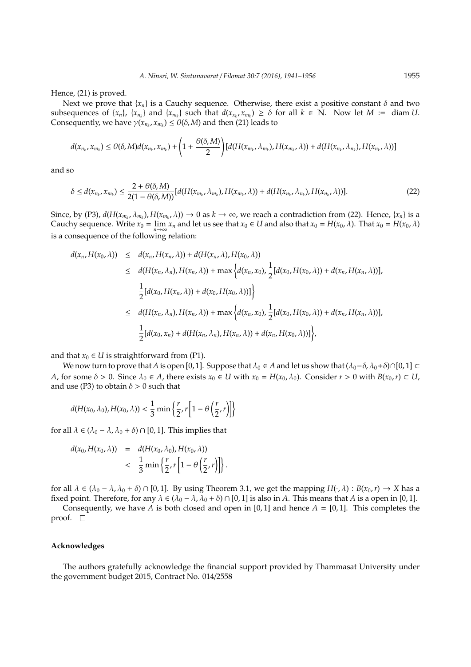Hence, (21) is proved.

Next we prove that  ${x_n}$  is a Cauchy sequence. Otherwise, there exist a positive constant  $\delta$  and two subsequences of  $\{x_n\}$ ,  $\{x_{n_k}\}\$  and  $\{x_{m_k}\}\$  such that  $d(x_{x_k}, x_{m_k}) \geq \delta$  for all  $k \in \mathbb{N}$ . Now let  $M := \text{diam } U$ . Consequently, we have  $\gamma(x_{n_k}, x_{m_k}) \leq \theta(\delta, M)$  and then (21) leads to

$$
d(x_{n_k},x_{m_k}) \leq \theta(\delta,M) d(x_{n_k},x_{m_k}) + \left(1+\frac{\theta(\delta,M)}{2}\right)[d(H(x_{m_k},\lambda_{m_k}),H(x_{m_k},\lambda)) + d(H(x_{n_k},\lambda_{n_k}),H(x_{n_k},\lambda))]
$$

and so

$$
\delta \le d(x_{n_k}, x_{m_k}) \le \frac{2 + \theta(\delta, M)}{2(1 - \theta(\delta, M))} [d(H(x_{m_k}, \lambda_{m_k}), H(x_{m_k}, \lambda)) + d(H(x_{n_k}, \lambda_{n_k}), H(x_{n_k}, \lambda))].
$$
\n(22)

Since, by (P3),  $d(H(x_{m_k}, \lambda_{m_k}), H(x_{m_k}, \lambda)) \to 0$  as  $k \to \infty$ , we reach a contradiction from (22). Hence,  $\{x_n\}$  is a Cauchy sequence. Write  $x_0 = \lim_{n \to \infty} x_n$  and let us see that  $x_0 \in U$  and also that  $x_0 = H(x_0, \lambda)$ . That  $x_0 = H(x_0, \lambda)$ is a consequence of the following relation:

$$
d(x_n, H(x_0, \lambda)) \leq d(x_n, H(x_n, \lambda)) + d(H(x_n, \lambda), H(x_0, \lambda))
$$
  
\n
$$
\leq d(H(x_n, \lambda_n), H(x_n, \lambda)) + \max \Big\{ d(x_n, x_0), \frac{1}{2} [d(x_0, H(x_0, \lambda)) + d(x_n, H(x_n, \lambda))],
$$
  
\n
$$
\frac{1}{2} [d(x_0, H(x_n, \lambda)) + d(x_0, H(x_0, \lambda))] \Big\}
$$
  
\n
$$
\leq d(H(x_n, \lambda_n), H(x_n, \lambda)) + \max \Big\{ d(x_n, x_0), \frac{1}{2} [d(x_0, H(x_0, \lambda)) + d(x_n, H(x_n, \lambda))],
$$
  
\n
$$
\frac{1}{2} [d(x_0, x_n) + d(H(x_n, \lambda_n), H(x_n, \lambda)) + d(x_n, H(x_0, \lambda))] \Big\},
$$

and that  $x_0 \in U$  is straightforward from (P1).

We now turn to prove that *A* is open [0, 1]. Suppose that  $\lambda_0 \in A$  and let us show that  $(\lambda_0 - \delta, \lambda_0 + \delta) \cap [0, 1] \subset$ *A*, for some  $\delta > 0$ . Since  $\lambda_0 \in A$ , there exists  $x_0 \in U$  with  $x_0 = H(x_0, \lambda_0)$ . Consider  $r > 0$  with  $\overline{B(x_0, r)} \subset U$ , and use (P3) to obtain  $\delta > 0$  such that

$$
d(H(x_0, \lambda_0), H(x_0, \lambda)) < \frac{1}{3} \min \left\{ \frac{r}{2}, r \left[ 1 - \theta \left( \frac{r}{2}, r \right) \right] \right\}
$$

for all  $\lambda \in (\lambda_0 - \lambda, \lambda_0 + \delta) \cap [0, 1]$ . This implies that

$$
d(x_0, H(x_0, \lambda)) = d(H(x_0, \lambda_0), H(x_0, \lambda))
$$
  

$$
< \frac{1}{3} \min \left\{ \frac{r}{2}, r \left[ 1 - \theta \left( \frac{r}{2}, r \right) \right] \right\}.
$$

for all  $\lambda \in (\lambda_0 - \lambda, \lambda_0 + \delta) \cap [0, 1]$ . By using Theorem 3.1, we get the mapping  $H(\cdot, \lambda) : \overline{B(x_0, r)} \to X$  has a fixed point. Therefore, for any  $\lambda \in (\lambda_0 - \lambda, \lambda_0 + \delta) \cap [0, 1]$  is also in *A*. This means that *A* is a open in [0, 1].

Consequently, we have *A* is both closed and open in [0, 1] and hence  $A = [0, 1]$ . This completes the proof.  $\square$ 

#### **Acknowledges**

The authors gratefully acknowledge the financial support provided by Thammasat University under the government budget 2015, Contract No. 014/2558